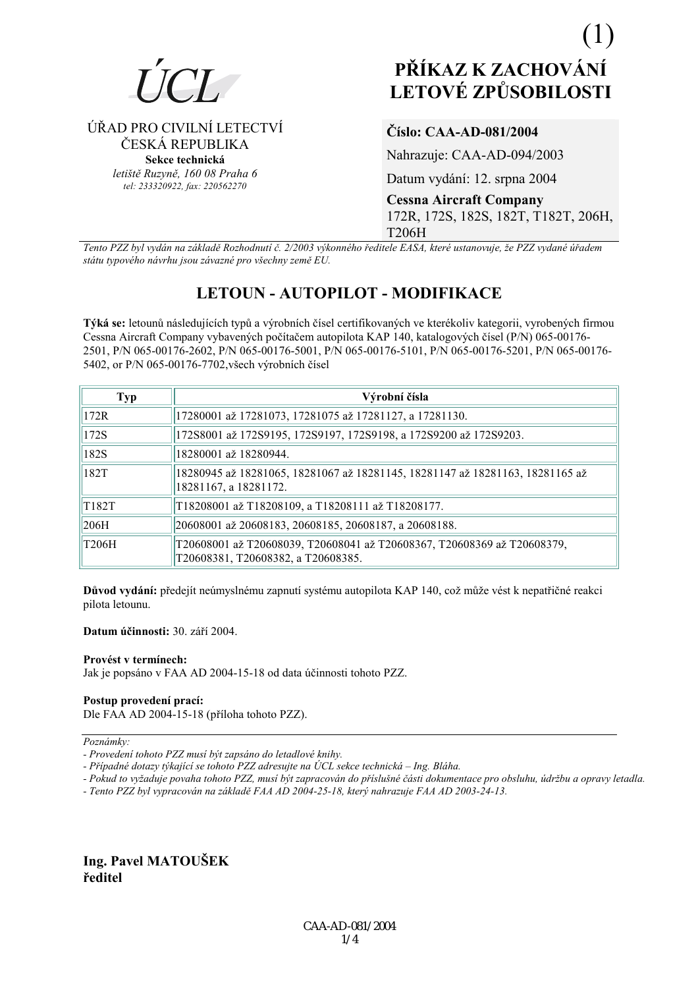

ÚŘAD PRO CIVILNÍ LETECTVÍ

ČESKÁ REPUBLIKA

Sekce technická letiště Ruzyně, 160 08 Praha 6

tel: 233320922, fax: 220562270

# PŘÍKAZ K ZACHOVÁNÍ **LETOVÉ ZPŮSOBILOSTI**

# Číslo: CAA-AD-081/2004

Nahrazuje: CAA-AD-094/2003

Datum vydání: 12. srpna 2004

**Cessna Aircraft Company** 172R, 172S, 182S, 182T, T182T, 206H, **T206H** 

Tento PZZ byl vydán na základě Rozhodnutí č. 2/2003 výkonného ředitele EASA, které ustanovuje, že PZZ vydané úřadem státu typového návrhu jsou závazné pro všechny země EU.

# **LETOUN - AUTOPILOT - MODIFIKACE**

Týká se: letounů následujících typů a výrobních čísel certifikovaných ve kterékoliv kategorii, vyrobených firmou Cessna Aircraft Company vybavených počítačem autopilota KAP 140, katalogových čísel (P/N) 065-00176-2501, P/N 065-00176-2602, P/N 065-00176-5001, P/N 065-00176-5101, P/N 065-00176-5201, P/N 065-00176-5402, or P/N 065-00176-7702, všech výrobních čísel

| <b>Typ</b> | Výrobní čísla                                                                                                 |
|------------|---------------------------------------------------------------------------------------------------------------|
| 172R       | 17280001 až 17281073, 17281075 až 17281127, a 17281130.                                                       |
| 172S       | 172S8001 až 172S9195, 172S9197, 172S9198, a 172S9200 až 172S9203.                                             |
| 182S       | 18280001 až 18280944.                                                                                         |
| 182T       | 18280945 až 18281065, 18281067 až 18281145, 18281147 až 18281163, 18281165 až<br>18281167, a 18281172.        |
| T182T      | T18208001 až T18208109, a T18208111 až T18208177.                                                             |
| 206H       | 20608001 až 20608183, 20608185, 20608187, a 20608188.                                                         |
| T206H      | T20608001 až T20608039, T20608041 až T20608367, T20608369 až T20608379,<br>T20608381, T20608382, a T20608385. |

Důvod vydání: předejít neúmyslnému zapnutí systému autopilota KAP 140, což může vést k nepatřičné reakci pilota letounu.

Datum účinnosti: 30. září 2004.

#### Provést y termínech:

Jak je popsáno v FAA AD 2004-15-18 od data účinnosti tohoto PZZ.

## Postup provedení prací:

Dle FAA AD 2004-15-18 (příloha tohoto PZZ).

Poznámky:

- Pokud to vyžaduje povaha tohoto PZZ, musí být zapracován do příslušné části dokumentace pro obsluhu, údržbu a opravy letadla.
- Tento PZZ byl vypracován na základě FAA AD 2004-25-18, který nahrazuje FAA AD 2003-24-13.

# Ing. Pavel MATOUŠEK ředitel

<sup>-</sup> Provedení tohoto PZZ musí být zapsáno do letadlové knihy.

<sup>-</sup> Případné dotazy týkající se tohoto PZZ adresujte na ÚCL sekce technická – Ing. Bláha.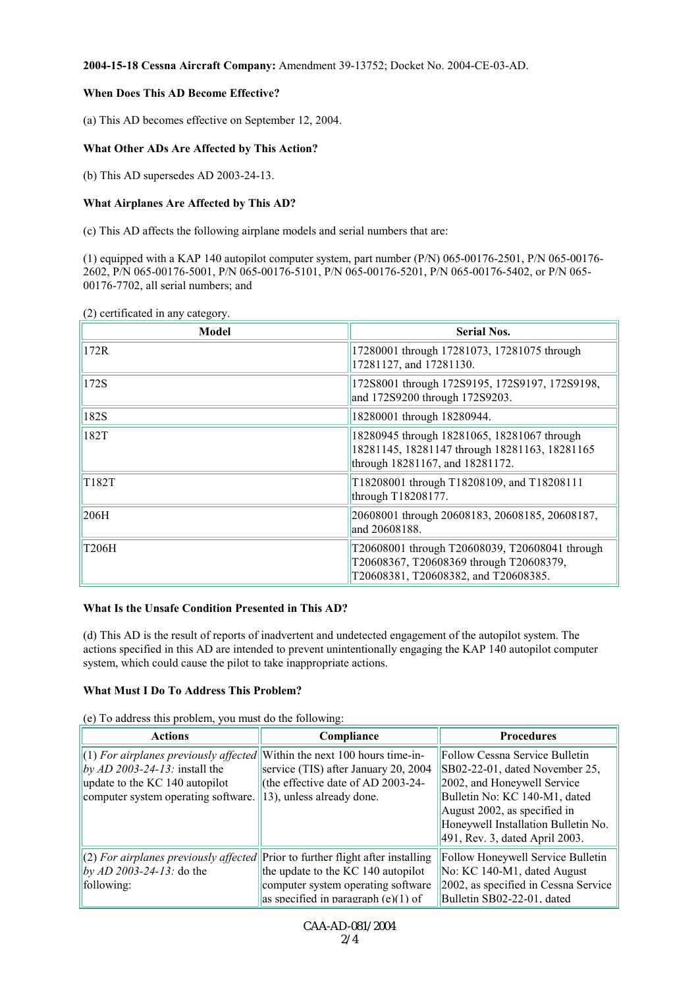#### **2004-15-18 Cessna Aircraft Company:** Amendment 39-13752; Docket No. 2004-CE-03-AD.

#### **When Does This AD Become Effective?**

(a) This AD becomes effective on September 12, 2004.

#### **What Other ADs Are Affected by This Action?**

(b) This AD supersedes AD 2003-24-13.

#### **What Airplanes Are Affected by This AD?**

(c) This AD affects the following airplane models and serial numbers that are:

(1) equipped with a KAP 140 autopilot computer system, part number (P/N) 065-00176-2501, P/N 065-00176- 2602, P/N 065-00176-5001, P/N 065-00176-5101, P/N 065-00176-5201, P/N 065-00176-5402, or P/N 065- 00176-7702, all serial numbers; and

(2) certificated in any category.

| Model | <b>Serial Nos.</b>                                                                                                                |
|-------|-----------------------------------------------------------------------------------------------------------------------------------|
| 172R  | 17280001 through 17281073, 17281075 through<br>17281127, and 17281130.                                                            |
| 172S  | 172S8001 through 172S9195, 172S9197, 172S9198,<br>and 172S9200 through 172S9203.                                                  |
| 182S  | 18280001 through 18280944.                                                                                                        |
| 182T  | 18280945 through 18281065, 18281067 through<br>18281145, 18281147 through 18281163, 18281165<br>through 18281167, and 18281172.   |
| T182T | T18208001 through T18208109, and T18208111<br>through T18208177.                                                                  |
| 206H  | 20608001 through 20608183, 20608185, 20608187,<br>and 20608188.                                                                   |
| T206H | T20608001 through T20608039, T20608041 through<br>T20608367, T20608369 through T20608379,<br>T20608381, T20608382, and T20608385. |

#### **What Is the Unsafe Condition Presented in This AD?**

(d) This AD is the result of reports of inadvertent and undetected engagement of the autopilot system. The actions specified in this AD are intended to prevent unintentionally engaging the KAP 140 autopilot computer system, which could cause the pilot to take inappropriate actions.

#### **What Must I Do To Address This Problem?**

(e) To address this problem, you must do the following:

| <b>Actions</b>                                                                   | Compliance                            | <b>Procedures</b>                    |
|----------------------------------------------------------------------------------|---------------------------------------|--------------------------------------|
| $ (1)$ For airplanes previously affected Within the next 100 hours time-in-      |                                       | Follow Cessna Service Bulletin       |
| by AD 2003-24-13: install the                                                    | service (TIS) after January 20, 2004  | SB02-22-01, dated November 25,       |
| update to the KC 140 autopilot                                                   | (the effective date of AD 2003-24-    | 2002, and Honeywell Service          |
| computer system operating software.                                              | $  13\rangle$ , unless already done.  | Bulletin No: KC 140-M1, dated        |
|                                                                                  |                                       | August 2002, as specified in         |
|                                                                                  |                                       | Honeywell Installation Bulletin No.  |
|                                                                                  |                                       | 491, Rev. 3, dated April 2003.       |
| $(2)$ For airplanes previously affected Prior to further flight after installing |                                       | Follow Honeywell Service Bulletin    |
| $by AD 2003-24-13$ : do the                                                      | the update to the KC 140 autopilot    | No: KC 140-M1, dated August          |
| following:                                                                       | computer system operating software    | 2002, as specified in Cessna Service |
|                                                                                  | as specified in paragraph $(e)(1)$ of | Bulletin SB02-22-01, dated           |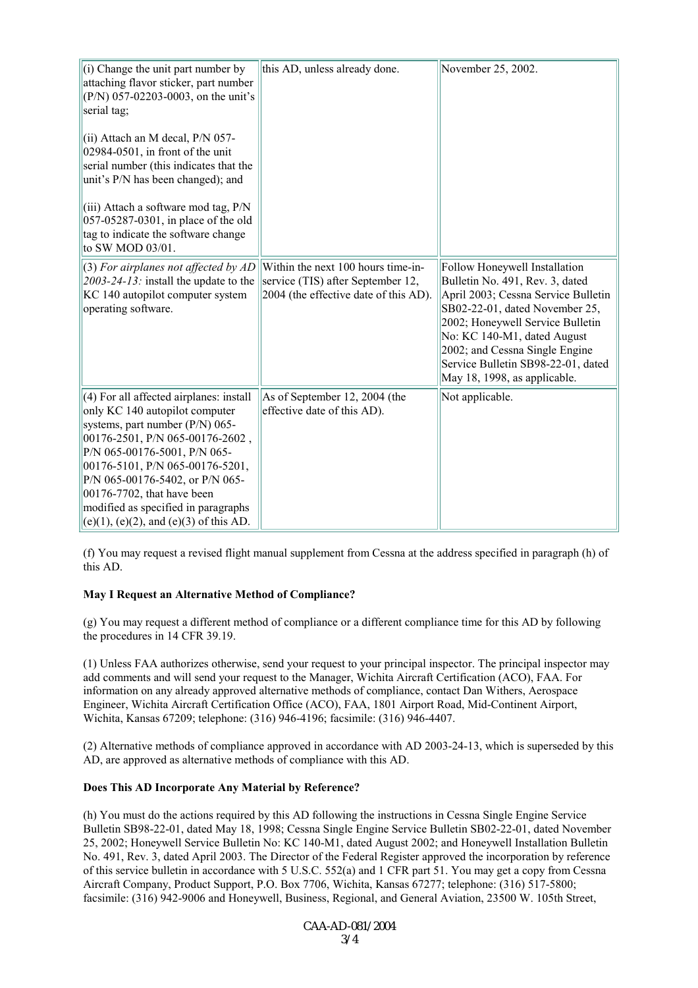| (i) Change the unit part number by<br>attaching flavor sticker, part number<br>(P/N) 057-02203-0003, on the unit's<br>serial tag;                                                                                                                                                                                                                                            | this AD, unless already done.                                                                                    | November 25, 2002.                                                                                                                                                                                                                                                                                                   |
|------------------------------------------------------------------------------------------------------------------------------------------------------------------------------------------------------------------------------------------------------------------------------------------------------------------------------------------------------------------------------|------------------------------------------------------------------------------------------------------------------|----------------------------------------------------------------------------------------------------------------------------------------------------------------------------------------------------------------------------------------------------------------------------------------------------------------------|
| (ii) Attach an M decal, P/N 057-<br>02984-0501, in front of the unit<br>serial number (this indicates that the<br>unit's P/N has been changed); and                                                                                                                                                                                                                          |                                                                                                                  |                                                                                                                                                                                                                                                                                                                      |
| (iii) Attach a software mod tag, P/N<br>057-05287-0301, in place of the old<br>tag to indicate the software change<br>to SW MOD 03/01.                                                                                                                                                                                                                                       |                                                                                                                  |                                                                                                                                                                                                                                                                                                                      |
| (3) For airplanes not affected by AD<br>$2003 - 24 - 13$ : install the update to the<br>KC 140 autopilot computer system<br>operating software.                                                                                                                                                                                                                              | Within the next 100 hours time-in-<br>service (TIS) after September 12,<br>2004 (the effective date of this AD). | Follow Honeywell Installation<br>Bulletin No. 491, Rev. 3, dated<br>April 2003; Cessna Service Bulletin<br>SB02-22-01, dated November 25,<br>2002; Honeywell Service Bulletin<br>No: KC 140-M1, dated August<br>2002; and Cessna Single Engine<br>Service Bulletin SB98-22-01, dated<br>May 18, 1998, as applicable. |
| (4) For all affected airplanes: install<br>only KC 140 autopilot computer<br>systems, part number (P/N) 065-<br>00176-2501, P/N 065-00176-2602,<br>P/N 065-00176-5001, P/N 065-<br>00176-5101, P/N 065-00176-5201,<br>P/N 065-00176-5402, or P/N 065-<br>00176-7702, that have been<br>modified as specified in paragraphs<br>$(e)(1)$ , $(e)(2)$ , and $(e)(3)$ of this AD. | As of September 12, 2004 (the<br>effective date of this AD).                                                     | Not applicable.                                                                                                                                                                                                                                                                                                      |

(f) You may request a revised flight manual supplement from Cessna at the address specified in paragraph (h) of this AD.

#### **May I Request an Alternative Method of Compliance?**

(g) You may request a different method of compliance or a different compliance time for this AD by following the procedures in 14 CFR 39.19.

(1) Unless FAA authorizes otherwise, send your request to your principal inspector. The principal inspector may add comments and will send your request to the Manager, Wichita Aircraft Certification (ACO), FAA. For information on any already approved alternative methods of compliance, contact Dan Withers, Aerospace Engineer, Wichita Aircraft Certification Office (ACO), FAA, 1801 Airport Road, Mid-Continent Airport, Wichita, Kansas 67209; telephone: (316) 946-4196; facsimile: (316) 946-4407.

(2) Alternative methods of compliance approved in accordance with AD 2003-24-13, which is superseded by this AD, are approved as alternative methods of compliance with this AD.

#### **Does This AD Incorporate Any Material by Reference?**

(h) You must do the actions required by this AD following the instructions in Cessna Single Engine Service Bulletin SB98-22-01, dated May 18, 1998; Cessna Single Engine Service Bulletin SB02-22-01, dated November 25, 2002; Honeywell Service Bulletin No: KC 140-M1, dated August 2002; and Honeywell Installation Bulletin No. 491, Rev. 3, dated April 2003. The Director of the Federal Register approved the incorporation by reference of this service bulletin in accordance with 5 U.S.C. 552(a) and 1 CFR part 51. You may get a copy from Cessna Aircraft Company, Product Support, P.O. Box 7706, Wichita, Kansas 67277; telephone: (316) 517-5800; facsimile: (316) 942-9006 and Honeywell, Business, Regional, and General Aviation, 23500 W. 105th Street,